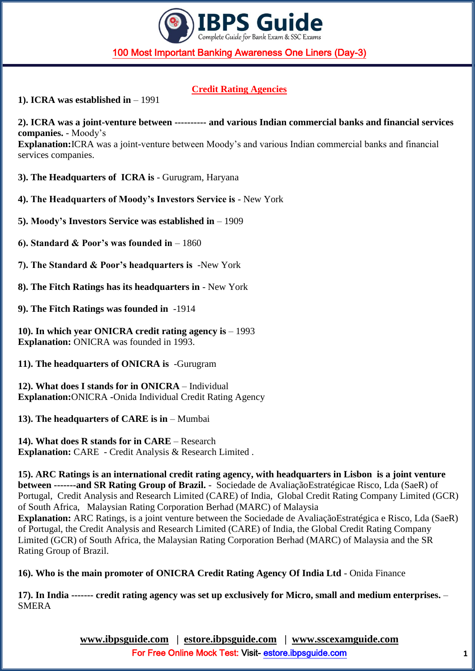

# **Credit Rating Agencies**

**1). ICRA was established in** – 1991

**2). ICRA was a joint-venture between ---------- and various Indian commercial banks and financial services companies.** - Moody's **Explanation:**ICRA was a joint-venture between Moody's and various Indian commercial banks and financial services companies.

**3). The Headquarters of ICRA is** - Gurugram, Haryana

**4). The Headquarters of Moody's Investors Service is** - New York

**5). Moody's Investors Service was established in** – 1909

**6). Standard & Poor's was founded in** – 1860

**7). The Standard & Poor's headquarters is** -New York

**8). The Fitch Ratings has its headquarters in** - New York

**9). The Fitch Ratings was founded in** -1914

**10). In which year ONICRA credit rating agency is** – 1993 **Explanation:** ONICRA was founded in 1993.

**11). The headquarters of ONICRA is** -Gurugram

**12). What does I stands for in ONICRA** – Individual **Explanation:**ONICRA **-**Onida Individual Credit Rating Agency

**13). The headquarters of CARE is in** – Mumbai

**14). What does R stands for in CARE** – Research **Explanation:** CARE - Credit Analysis & Research Limited .

**15). ARC Ratings is an international credit rating agency, with headquarters in Lisbon is a joint venture between -------and SR Rating Group of Brazil.** - Sociedade de AvaliaçãoEstratégicae Risco, Lda (SaeR) of Portugal, Credit Analysis and Research Limited (CARE) of India, Global Credit Rating Company Limited (GCR) of South Africa, Malaysian Rating Corporation Berhad (MARC) of Malaysia **Explanation:** ARC Ratings, is a joint venture between the Sociedade de AvaliaçãoEstratégica e Risco, Lda (SaeR) of Portugal, the Credit Analysis and Research Limited (CARE) of India, the Global Credit Rating Company Limited (GCR) of South Africa, the Malaysian Rating Corporation Berhad (MARC) of Malaysia and the SR Rating Group of Brazil.

**16). Who is the main promoter of ONICRA Credit Rating Agency Of India Ltd** - Onida Finance

**17). In India ------- credit rating agency was set up exclusively for Micro, small and medium enterprises.** – SMERA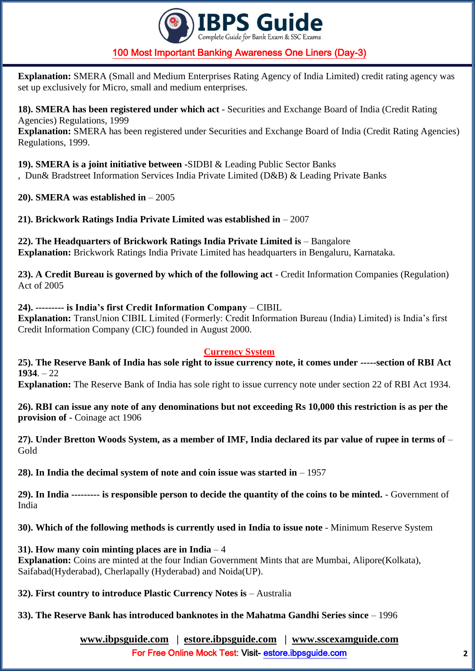

**Explanation:** SMERA (Small and Medium Enterprises Rating Agency of India Limited) credit rating agency was set up exclusively for Micro, small and medium enterprises.

**18). SMERA has been registered under which act** - Securities and Exchange Board of India (Credit Rating Agencies) Regulations, 1999

**Explanation:** SMERA has been registered under Securities and Exchange Board of India (Credit Rating Agencies) Regulations, 1999.

**19). SMERA is a joint initiative between -**SIDBI & Leading Public Sector Banks

, Dun& Bradstreet Information Services India Private Limited (D&B) & Leading Private Banks

**20). SMERA was established in** – 2005

**21). Brickwork Ratings India Private Limited was established in** – 2007

**22). The Headquarters of Brickwork Ratings India Private Limited is** – Bangalore **Explanation:** Brickwork Ratings India Private Limited has headquarters in Bengaluru, Karnataka.

**23). A Credit Bureau is governed by which of the following act** - Credit Information Companies (Regulation) Act of 2005

### **24). --------- is India's first Credit Information Company** – CIBIL

**Explanation:** TransUnion CIBIL Limited (Formerly: Credit Information Bureau (India) Limited) is India's first Credit Information Company (CIC) founded in August 2000.

#### **Currency System**

**25). The Reserve Bank of India has sole right to issue currency note, it comes under -----section of RBI Act 1934** $-22$ 

**Explanation:** The Reserve Bank of India has sole right to issue currency note under section 22 of RBI Act 1934.

**26). RBI can issue any note of any denominations but not exceeding Rs 10,000 this restriction is as per the provision of** - Coinage act 1906

**27). Under Bretton Woods System, as a member of IMF, India declared its par value of rupee in terms of** – Gold

**28). In India the decimal system of note and coin issue was started in** – 1957

**29). In India --------- is responsible person to decide the quantity of the coins to be minted.** - Government of India

**30). Which of the following methods is currently used in India to issue note** - Minimum Reserve System

### **31). How many coin minting places are in India** – 4

**Explanation:** Coins are minted at the four Indian Government Mints that are Mumbai, Alipore(Kolkata), Saifabad(Hyderabad), Cherlapally (Hyderabad) and Noida(UP).

**32). First country to introduce Plastic Currency Notes is** – Australia

**33). The Reserve Bank has introduced banknotes in the Mahatma Gandhi Series since** – 1996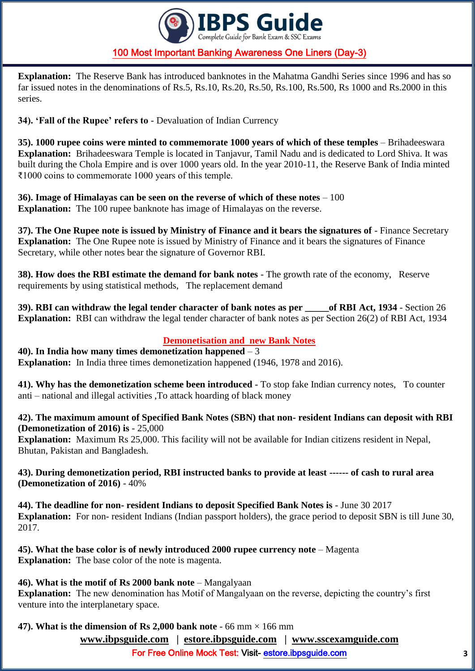

**Explanation:** The Reserve Bank has introduced banknotes in the Mahatma Gandhi Series since 1996 and has so far issued notes in the denominations of Rs.5, Rs.10, Rs.20, Rs.50, Rs.100, Rs.500, Rs 1000 and Rs.2000 in this series.

**34). 'Fall of the Rupee' refers to** - Devaluation of Indian Currency

**35). 1000 rupee coins were minted to commemorate 1000 years of which of these temples** – Brihadeeswara **Explanation:** Brihadeeswara Temple is located in Tanjavur, Tamil Nadu and is dedicated to Lord Shiva. It was built during the Chola Empire and is over 1000 years old. In the year 2010-11, the Reserve Bank of India minted ₹1000 coins to commemorate 1000 years of this temple.

**36). Image of Himalayas can be seen on the reverse of which of these notes** – 100 **Explanation:** The 100 rupee banknote has image of Himalayas on the reverse.

**37). The One Rupee note is issued by Ministry of Finance and it bears the signatures of** - Finance Secretary **Explanation:** The One Rupee note is issued by Ministry of Finance and it bears the signatures of Finance Secretary, while other notes bear the signature of Governor RBI.

**38). How does the RBI estimate the demand for bank notes** - The growth rate of the economy, Reserve requirements by using statistical methods, The replacement demand

**39). RBI can withdraw the legal tender character of bank notes as per \_\_\_\_\_of RBI Act, 1934** - Section 26 **Explanation:** RBI can withdraw the legal tender character of bank notes as per Section 26(2) of RBI Act, 1934

## **Demonetisation and new Bank Notes**

**40). In India how many times demonetization happened** – 3 **Explanation:** In India three times demonetization happened (1946, 1978 and 2016).

**41). Why has the demonetization scheme been introduced** - To stop fake Indian currency notes, To counter anti – national and illegal activities ,To attack hoarding of black money

**42). The maximum amount of Specified Bank Notes (SBN) that non- resident Indians can deposit with RBI (Demonetization of 2016) is** - 25,000

**Explanation:** Maximum Rs 25,000. This facility will not be available for Indian citizens resident in Nepal, Bhutan, Pakistan and Bangladesh.

**43). During demonetization period, RBI instructed banks to provide at least ------ of cash to rural area (Demonetization of 2016)** - 40%

**44). The deadline for non- resident Indians to deposit Specified Bank Notes is** - June 30 2017 **Explanation:** For non- resident Indians (Indian passport holders), the grace period to deposit SBN is till June 30, 2017.

**45). What the base color is of newly introduced 2000 rupee currency note** – Magenta **Explanation:** The base color of the note is magenta.

**46). What is the motif of Rs 2000 bank note** – Mangalyaan

**Explanation:** The new denomination has Motif of Mangalyaan on the reverse, depicting the country's first venture into the interplanetary space.

**47). What is the dimension of Rs 2,000 bank note**  $-66$  mm  $\times$  166 mm

**[www.ibpsguide.com](http://www.ibpsguide.com/) | estore.ibpsguide.com | [www.sscexamguide.com](http://www.sscexamguide.com/)**

For Free Online Mock Test: Visit-<estore.ibpsguide.com>**3**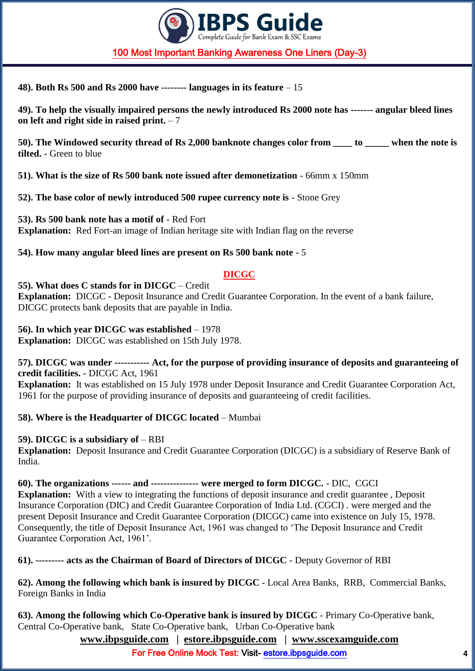

**48). Both Rs 500 and Rs 2000 have -------- languages in its feature** – 15

**49). To help the visually impaired persons the newly introduced Rs 2000 note has ------- angular bleed lines on left and right side in raised print.** – 7

**50). The Windowed security thread of Rs 2,000 banknote changes color from \_\_\_\_ to \_\_\_\_\_ when the note is tilted.** - Green to blue

**51). What is the size of Rs 500 bank note issued after demonetization** - 66mm x 150mm

**52). The base color of newly introduced 500 rupee currency note is** - Stone Grey

**53). Rs 500 bank note has a motif of** - Red Fort **Explanation:** Red Fort-an image of Indian heritage site with Indian flag on the reverse

**54). How many angular bleed lines are present on Rs 500 bank note** - 5

#### **DICGC**

**55). What does C stands for in DICGC** – Credit **Explanation:** DICGC - Deposit Insurance and Credit Guarantee Corporation. In the event of a bank failure, DICGC protects bank deposits that are payable in India.

**56). In which year DICGC was established** – 1978

**Explanation:** DICGC was established on 15th July 1978.

**57). DICGC was under ----------- Act, for the purpose of providing insurance of deposits and guaranteeing of credit facilities.** - DICGC Act, 1961

**Explanation:** It was established on 15 July 1978 under Deposit Insurance and Credit Guarantee Corporation Act, 1961 for the purpose of providing insurance of deposits and guaranteeing of credit facilities.

**58). Where is the Headquarter of DICGC located** – Mumbai

**59). DICGC is a subsidiary of** – RBI

**Explanation:** Deposit Insurance and Credit Guarantee Corporation (DICGC) is a subsidiary of Reserve Bank of India.

**60). The organizations ------ and --------------- were merged to form DICGC.** - DIC, CGCI **Explanation:** With a view to integrating the functions of deposit insurance and credit guarantee, Deposit Insurance Corporation (DIC) and Credit Guarantee Corporation of India Ltd. (CGCI) . were merged and the present Deposit Insurance and Credit Guarantee Corporation (DICGC) came into existence on July 15, 1978. Consequently, the title of Deposit Insurance Act, 1961 was changed to 'The Deposit Insurance and Credit Guarantee Corporation Act, 1961'.

**61). --------- acts as the Chairman of Board of Directors of DICGC** - Deputy Governor of RBI

**62). Among the following which bank is insured by DICGC** - Local Area Banks, RRB, Commercial Banks, Foreign Banks in India

**63). Among the following which Co-Operative bank is insured by DICGC** - Primary Co-Operative bank, Central Co-Operative bank, State Co-Operative bank, Urban Co-Operative bank

**[www.ibpsguide.com](http://www.ibpsguide.com/) | estore.ibpsguide.com | [www.sscexamguide.com](http://www.sscexamguide.com/)**

For Free Online Mock Test: Visit-<estore.ibpsguide.com>**4**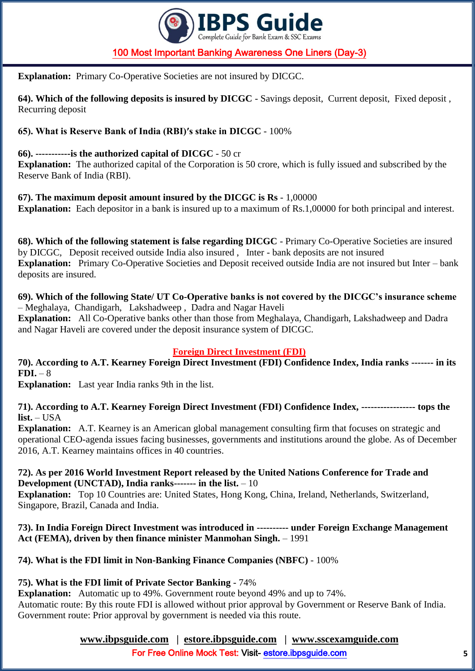

**Explanation:** Primary Co-Operative Societies are not insured by DICGC.

**64). Which of the following deposits is insured by DICGC** - Savings deposit, Current deposit, Fixed deposit , Recurring deposit

## **65). What is Reserve Bank of India (RBI)′s stake in DICGC** - 100%

### **66). -----------is the authorized capital of DICGC** - 50 cr

**Explanation:** The authorized capital of the Corporation is 50 crore, which is fully issued and subscribed by the Reserve Bank of India (RBI).

**67). The maximum deposit amount insured by the DICGC is Rs** - 1,00000

**Explanation:** Each depositor in a bank is insured up to a maximum of Rs.1,00000 for both principal and interest.

**68). Which of the following statement is false regarding DICGC** - Primary Co-Operative Societies are insured by DICGC, Deposit received outside India also insured , Inter - bank deposits are not insured **Explanation:** Primary Co-Operative Societies and Deposit received outside India are not insured but Inter – bank deposits are insured.

**69). Which of the following State/ UT Co-Operative banks is not covered by the DICGC's insurance scheme** – Meghalaya, Chandigarh, Lakshadweep , Dadra and Nagar Haveli **Explanation:** All Co-Operative banks other than those from Meghalaya, Chandigarh, Lakshadweep and Dadra and Nagar Haveli are covered under the deposit insurance system of DICGC.

### **Foreign Direct Investment (FDI)**

**70). According to A.T. Kearney Foreign Direct Investment (FDI) Confidence Index, India ranks ------- in its**   $FDI. - 8$ 

**Explanation:** Last year India ranks 9th in the list.

**71). According to A.T. Kearney Foreign Direct Investment (FDI) Confidence Index, ----------------- tops the list.** – USA

**Explanation:** A.T. Kearney is an American global management consulting firm that focuses on strategic and operational CEO-agenda issues facing businesses, governments and institutions around the globe. As of December 2016, A.T. Kearney maintains offices in 40 countries.

### **72). As per 2016 World Investment Report released by the United Nations Conference for Trade and Development (UNCTAD), India ranks------- in the list.** – 10

**Explanation:** Top 10 Countries are: United States, Hong Kong, China, Ireland, Netherlands, Switzerland, Singapore, Brazil, Canada and India.

### **73). In India Foreign Direct Investment was introduced in ---------- under Foreign Exchange Management Act (FEMA), driven by then finance minister Manmohan Singh.** – 1991

# **74). What is the FDI limit in Non-Banking Finance Companies (NBFC)** - 100%

# **75). What is the FDI limit of Private Sector Banking** - 74%

**Explanation:** Automatic up to 49%. Government route beyond 49% and up to 74%. Automatic route: By this route FDI is allowed without prior approval by Government or Reserve Bank of India. Government route: Prior approval by government is needed via this route.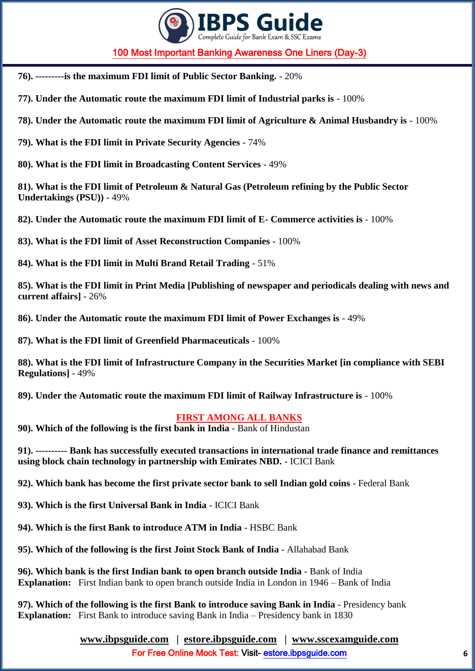

- **76). ---------is the maximum FDI limit of Public Sector Banking.** 20%
- **77). Under the Automatic route the maximum FDI limit of Industrial parks is** 100%
- **78). Under the Automatic route the maximum FDI limit of Agriculture & Animal Husbandry is**  100%
- **79). What is the FDI limit in Private Security Agencies** 74%

**80). What is the FDI limit in Broadcasting Content Services** - 49%

**81). What is the FDI limit of Petroleum & Natural Gas (Petroleum refining by the Public Sector Undertakings (PSU))** - 49%

**82). Under the Automatic route the maximum FDI limit of E- Commerce activities is** - 100%

**83). What is the FDI limit of Asset Reconstruction Companies** - 100%

**84). What is the FDI limit in Multi Brand Retail Trading** - 51%

**85). What is the FDI limit in Print Media [Publishing of newspaper and periodicals dealing with news and current affairs]** - 26%

**86). Under the Automatic route the maximum FDI limit of Power Exchanges is** - 49%

**87). What is the FDI limit of Greenfield Pharmaceuticals** - 100%

**88). What is the FDI limit of Infrastructure Company in the Securities Market [in compliance with SEBI Regulations]** - 49%

**89). Under the Automatic route the maximum FDI limit of Railway Infrastructure is** - 100%

#### **FIRST AMONG ALL BANKS**

**90). Which of the following is the first bank in India** - Bank of Hindustan

**91). ---------- Bank has successfully executed transactions in international trade finance and remittances using block chain technology in partnership with Emirates NBD.** - ICICI Bank

**92). Which bank has become the first private sector bank to sell Indian gold coins** - Federal Bank

**93). Which is the first Universal Bank in India** - ICICI Bank

**94). Which is the first Bank to introduce ATM in India** - HSBC Bank

**95). Which of the following is the first Joint Stock Bank of India** - Allahabad Bank

**96). Which bank is the first Indian bank to open branch outside India** - Bank of India **Explanation:** First Indian bank to open branch outside India in London in 1946 – Bank of India

**97). Which of the following is the first Bank to introduce saving Bank in India** - Presidency bank **Explanation:** First Bank to introduce saving Bank in India – Presidency bank in 1830